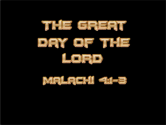

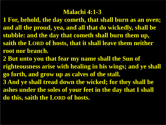#### **Malachi 4:1-3**

- **1 For, behold, the day cometh, that shall burn as an oven; and all the proud, yea, and all that do wickedly, shall be stubble: and the day that cometh shall burn them up, saith the LORD of hosts, that it shall leave them neither root nor branch.**
- **2 But unto you that fear my name shall the Sun of righteousness arise with healing in his wings; and ye shall go forth, and grow up as calves of the stall. 3 And ye shall tread down the wicked; for they shall be ashes under the soles of your feet in the day that I shall do this, saith the LORD of hosts.**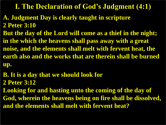**I. The Declaration of God's Judgment (4:1)** 

- **A. Judgment Day is clearly taught in scripture 2 Peter 3:10**
- **But the day of the Lord will come as a thief in the night; in the which the heavens shall pass away with a great noise, and the elements shall melt with fervent heat, the earth also and the works that are therein shall be burned up.**
- **B. It is a day that we should look for**
- **2 Peter 3:12**
- **Looking for and hasting unto the coming of the day of God, wherein the heavens being on fire shall be dissolved, and the elements shall melt with fervent heat?**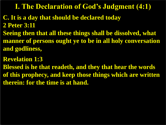**I. The Declaration of God's Judgment (4:1)** 

- **C. It is a day that should be declared today 2 Peter 3:11**
- **Seeing then that all these things shall be dissolved, what manner of persons ought ye to be in all holy conversation and godliness,**
- **Revelation 1:3**
- **Blessed is he that readeth, and they that hear the words of this prophecy, and keep those things which are written therein: for the time is at hand.**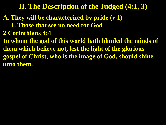- **A. They will be characterized by pride (v 1)**
	- **1. Those that see no need for God**
- **2 Corinthians 4:4**
- **In whom the god of this world hath blinded the minds of them which believe not, lest the light of the glorious gospel of Christ, who is the image of God, should shine unto them.**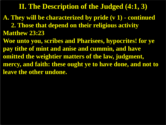- **A. They will be characterized by pride (v 1) - continued 2. Those that depend on their religious activity**
- **Matthew 23:23**
- **Woe unto you, scribes and Pharisees, hypocrites! for ye pay tithe of mint and anise and cummin, and have omitted the weightier matters of the law, judgment, mercy, and faith: these ought ye to have done, and not to leave the other undone.**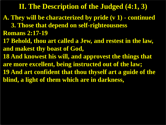- **A. They will be characterized by pride (v 1) - continued**
- **3. Those that depend on self-righteousness Romans 2:17-19**
- **17 Behold, thou art called a Jew, and restest in the law, and makest thy boast of God,**
- **18 And knowest his will, and approvest the things that are more excellent, being instructed out of the law; 19 And art confident that thou thyself art a guide of the blind, a light of them which are in darkness,**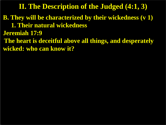- **B. They will be characterized by their wickedness (v 1) 1. Their natural wickedness**
- **Jeremiah 17:9**
- **The heart is deceitful above all things, and desperately wicked: who can know it?**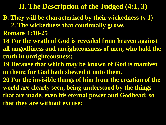**B. They will be characterized by their wickedness (v 1)**

 **2. The wickedness that continually grows Romans 1:18-25**

- **18 For the wrath of God is revealed from heaven against all ungodliness and unrighteousness of men, who hold the truth in unrighteousness;**
- **19 Because that which may be known of God is manifest in them; for God hath shewed it unto them.**
- **20 For the invisible things of him from the creation of the world are clearly seen, being understood by the things that are made, even his eternal power and Godhead; so that they are without excuse:**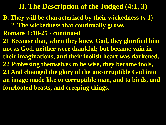- **B. They will be characterized by their wickedness (v 1) 2. The wickedness that continually grows Romans 1:18-25 - continued**
- **21 Because that, when they knew God, they glorified him not as God, neither were thankful; but became vain in their imaginations, and their foolish heart was darkened. 22 Professing themselves to be wise, they became fools, 23 And changed the glory of the uncorruptible God into an image made like to corruptible man, and to birds, and fourfooted beasts, and creeping things.**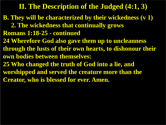**B. They will be characterized by their wickedness (v 1) 2. The wickedness that continually grows Romans 1:18-25 - continued 24 Wherefore God also gave them up to uncleanness through the lusts of their own hearts, to dishonour their own bodies between themselves: 25 Who changed the truth of God into a lie, and worshipped and served the creature more than the Creator, who is blessed for ever. Amen.**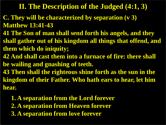- **C. They will be characterized by separation (v 3) Matthew 13:41-43**
- **41 The Son of man shall send forth his angels, and they**
- **shall gather out of his kingdom all things that offend, and them which do iniquity;**
- **42 And shall cast them into a furnace of fire: there shall be wailing and gnashing of teeth.**
- **43 Then shall the righteous shine forth as the sun in the kingdom of their Father. Who hath ears to hear, let him hear.**
	- **1. A separation from the Lord forever 2. A separation from Heaven forever 3. A separation from love forever**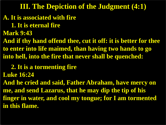#### **III. The Depiction of the Judgment (4:1)**

#### **A. It is associated with fire**

 **1. It is eternal fire**

**Mark 9:43**

**And if thy hand offend thee, cut it off: it is better for thee to enter into life maimed, than having two hands to go into hell, into the fire that never shall be quenched:**

 **2. It is a tormenting fire**

**Luke 16:24**

**And he cried and said, Father Abraham, have mercy on me, and send Lazarus, that he may dip the tip of his finger in water, and cool my tongue; for I am tormented in this flame.**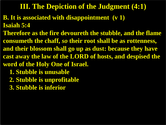#### **III. The Depiction of the Judgment (4:1)**

- **B. It is associated with disappointment (v 1) Isaiah 5:4**
- **Therefore as the fire devoureth the stubble, and the flame consumeth the chaff,** *so* **their root shall be as rottenness, and their blossom shall go up as dust: because they have cast away the law of the LORD of hosts, and despised the word of the Holy One of Israel.**
	- **1. Stubble is unusable**
	- **2. Stubble is unprofitable**
	- **3. Stubble is inferior**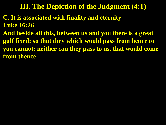#### **III. The Depiction of the Judgment (4:1)**

- **C. It is associated with finality and eternity Luke 16:26**
- **And beside all this, between us and you there is a great gulf fixed: so that they which would pass from hence to you cannot; neither can they pass to us, that would come from thence.**